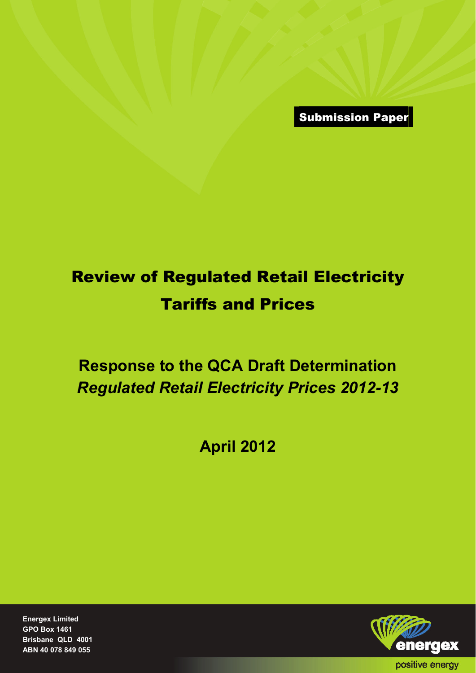Submission Paper

## Review of Regulated Retail Electricity Tariffs and Prices

## **Response to the QCA Draft Determination**  *Regulated Retail Electricity Prices 2012-13*

**April 2012** 

**Energex Limited GPO Box 1461 Brisbane QLD 4001 ABN 40 078 849 055** 

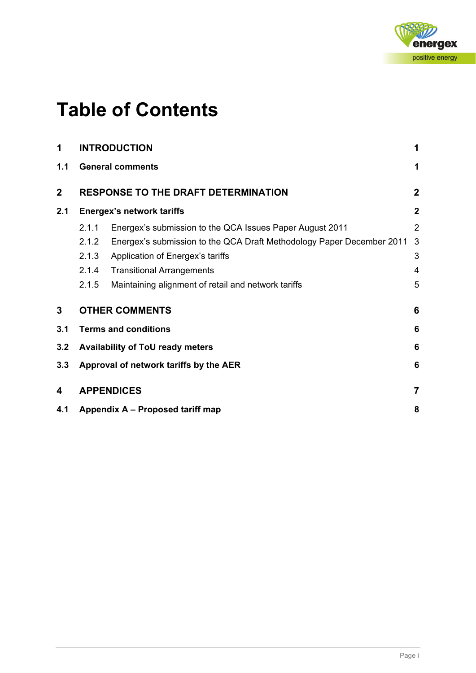

## **Table of Contents**

| 1              |       | <b>INTRODUCTION</b>                                                   | 1               |
|----------------|-------|-----------------------------------------------------------------------|-----------------|
| 1.1            |       | <b>General comments</b>                                               | 1               |
| $\overline{2}$ |       | <b>RESPONSE TO THE DRAFT DETERMINATION</b>                            | $\mathbf{2}$    |
| 2.1            |       | <b>Energex's network tariffs</b>                                      | $\mathbf 2$     |
|                | 2.1.1 | Energex's submission to the QCA Issues Paper August 2011              | $\overline{2}$  |
|                | 2.1.2 | Energex's submission to the QCA Draft Methodology Paper December 2011 | 3               |
|                | 2.1.3 | Application of Energex's tariffs                                      | 3               |
|                | 2.1.4 | <b>Transitional Arrangements</b>                                      | 4               |
|                | 2.1.5 | Maintaining alignment of retail and network tariffs                   | 5               |
| 3              |       | <b>OTHER COMMENTS</b>                                                 | 6               |
| 3.1            |       | <b>Terms and conditions</b>                                           | 6               |
| 3.2            |       | Availability of ToU ready meters                                      | $6\phantom{1}6$ |
| 3.3            |       | Approval of network tariffs by the AER                                | 6               |
| 4              |       | <b>APPENDICES</b>                                                     | $\overline{7}$  |
| 4.1            |       | Appendix A – Proposed tariff map                                      | 8               |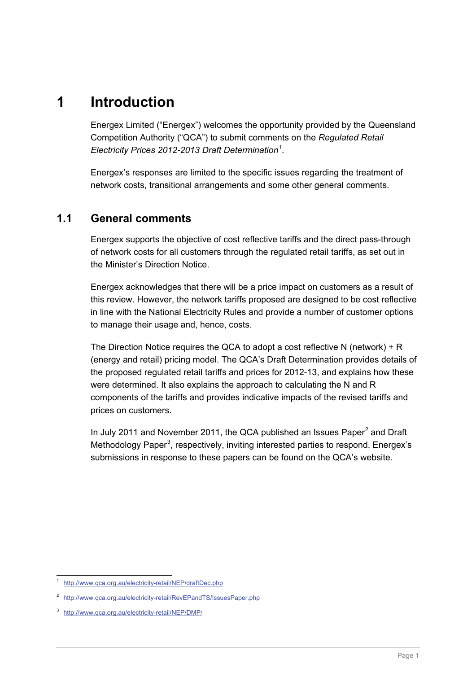## <span id="page-2-0"></span>**1 Introduction**

Energex Limited ("Energex") welcomes the opportunity provided by the Queensland Competition Authority ("QCA") to submit comments on the *Regulated Retail Electricity Prices 2012-2013 Draft Determination[1](#page-2-2)* .

Energex's responses are limited to the specific issues regarding the treatment of network costs, transitional arrangements and some other general comments.

#### <span id="page-2-1"></span>**1.1 General comments**

Energex supports the objective of cost reflective tariffs and the direct pass-through of network costs for all customers through the regulated retail tariffs, as set out in the Minister's Direction Notice.

Energex acknowledges that there will be a price impact on customers as a result of this review. However, the network tariffs proposed are designed to be cost reflective in line with the National Electricity Rules and provide a number of customer options to manage their usage and, hence, costs.

The Direction Notice requires the QCA to adopt a cost reflective N (network) + R (energy and retail) pricing model. The QCA's Draft Determination provides details of the proposed regulated retail tariffs and prices for 2012-13, and explains how these were determined. It also explains the approach to calculating the N and R components of the tariffs and provides indicative impacts of the revised tariffs and prices on customers.

In July [2](#page-2-3)011 and November 2011, the QCA published an Issues Paper $^2$  and Draft Methodology Paper<sup>[3](#page-2-4)</sup>, respectively, inviting interested parties to respond. Energex's submissions in response to these papers can be found on the QCA's website.

<span id="page-2-2"></span> $\overline{a}$ <sup>1</sup> http://www.qca.org.au/electricity-retail/NEP/draftDec.php

<span id="page-2-3"></span><sup>2</sup> http://www.qca.org.au/electricity-retail/RevEPandTS/IssuesPaper.php

<span id="page-2-4"></span><sup>3</sup> http://www.qca.org.au/electricity-retail/NEP/DMP/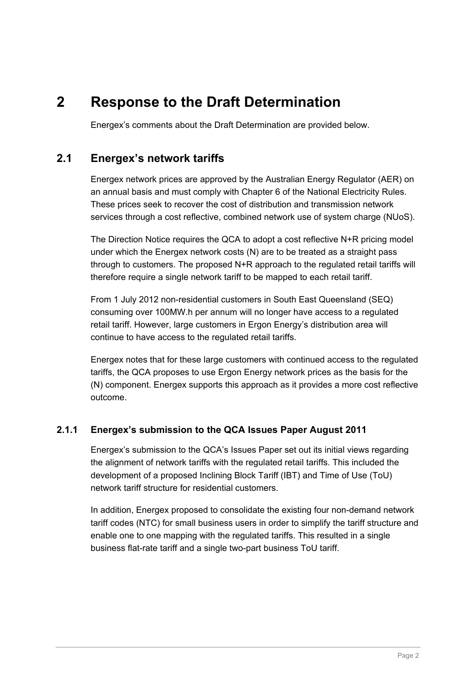## <span id="page-3-0"></span>**2 Response to the Draft Determination**

Energex's comments about the Draft Determination are provided below.

#### <span id="page-3-1"></span>**2.1 Energex's network tariffs**

Energex network prices are approved by the Australian Energy Regulator (AER) on an annual basis and must comply with Chapter 6 of the National Electricity Rules. These prices seek to recover the cost of distribution and transmission network services through a cost reflective, combined network use of system charge (NUoS).

The Direction Notice requires the QCA to adopt a cost reflective N+R pricing model under which the Energex network costs (N) are to be treated as a straight pass through to customers. The proposed N+R approach to the regulated retail tariffs will therefore require a single network tariff to be mapped to each retail tariff.

From 1 July 2012 non-residential customers in South East Queensland (SEQ) consuming over 100MW.h per annum will no longer have access to a regulated retail tariff. However, large customers in Ergon Energy's distribution area will continue to have access to the regulated retail tariffs.

Energex notes that for these large customers with continued access to the regulated tariffs, the QCA proposes to use Ergon Energy network prices as the basis for the (N) component. Energex supports this approach as it provides a more cost reflective outcome.

#### <span id="page-3-2"></span>**2.1.1 Energex's submission to the QCA Issues Paper August 2011**

Energex's submission to the QCA's Issues Paper set out its initial views regarding the alignment of network tariffs with the regulated retail tariffs. This included the development of a proposed Inclining Block Tariff (IBT) and Time of Use (ToU) network tariff structure for residential customers.

In addition, Energex proposed to consolidate the existing four non-demand network tariff codes (NTC) for small business users in order to simplify the tariff structure and enable one to one mapping with the regulated tariffs. This resulted in a single business flat-rate tariff and a single two-part business ToU tariff.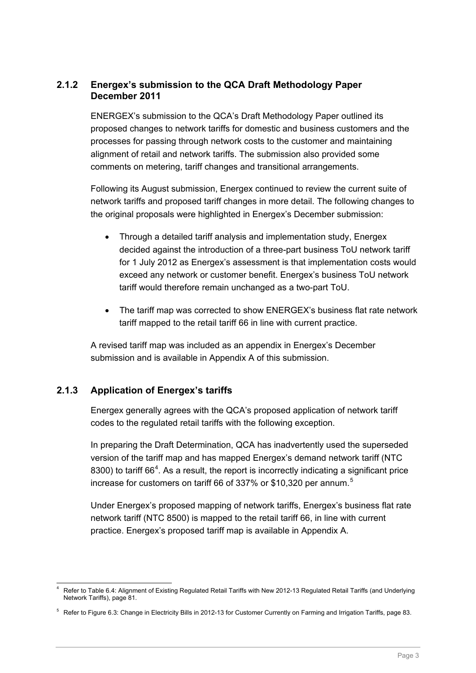#### <span id="page-4-2"></span><span id="page-4-0"></span>**2.1.2 Energex's submission to the QCA Draft Methodology Paper December 2011**

ENERGEX's submission to the QCA's Draft Methodology Paper outlined its proposed changes to network tariffs for domestic and business customers and the processes for passing through network costs to the customer and maintaining alignment of retail and network tariffs. The submission also provided some comments on metering, tariff changes and transitional arrangements.

Following its August submission, Energex continued to review the current suite of network tariffs and proposed tariff changes in more detail. The following changes to the original proposals were highlighted in Energex's December submission:

- Through a detailed tariff analysis and implementation study, Energex decided against the introduction of a three-part business ToU network tariff for 1 July 2012 as Energex's assessment is that implementation costs would exceed any network or customer benefit. Energex's business ToU network tariff would therefore remain unchanged as a two-part ToU.
- The tariff map was corrected to show ENERGEX's business flat rate network tariff mapped to the retail tariff 66 in line with current practice.

A revised tariff map was included as an appendix in Energex's December submission and is available in Appendix A of this submission.

#### <span id="page-4-1"></span>**2.1.3 Application of Energex's tariffs**

Energex generally agrees with the QCA's proposed application of network tariff codes to the regulated retail tariffs with the following exception.

In preparing the Draft Determination, QCA has inadvertently used the superseded version of the tariff map and has mapped Energex's demand network tariff (NTC 8300) to tariff  $66<sup>4</sup>$  $66<sup>4</sup>$  $66<sup>4</sup>$ . As a result, the report is incorrectly indicating a significant price increase for customers on tariff 66 of 337% or \$10,320 per annum.<sup>[5](#page-4-2)</sup>

Under Energex's proposed mapping of network tariffs, Energex's business flat rate network tariff (NTC 8500) is mapped to the retail tariff 66, in line with current practice. Energex's proposed tariff map is available in Appendix A.

<sup>-</sup>4 Refer to Table 6.4: Alignment of Existing Regulated Retail Tariffs with New 2012-13 Regulated Retail Tariffs (and Underlying Network Tariffs), page 81.

 $5$  Refer to Figure 6.3: Change in Electricity Bills in 2012-13 for Customer Currently on Farming and Irrigation Tariffs, page 83.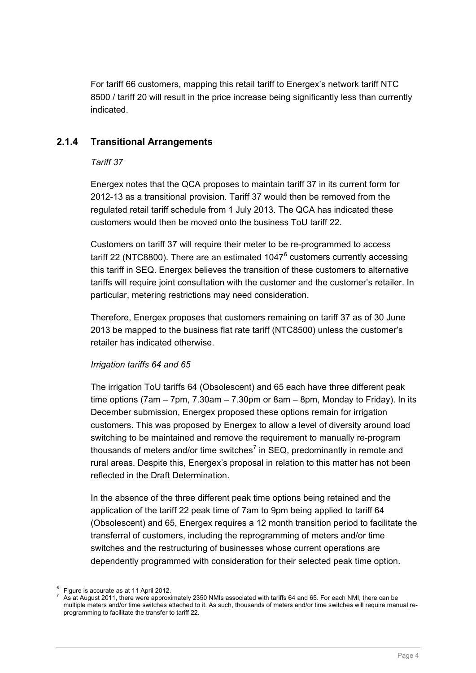<span id="page-5-1"></span>For tariff 66 customers, mapping this retail tariff to Energex's network tariff NTC 8500 / tariff 20 will result in the price increase being significantly less than currently indicated.

#### <span id="page-5-0"></span>**2.1.4 Transitional Arrangements**

#### *Tariff 37*

Energex notes that the QCA proposes to maintain tariff 37 in its current form for 2012-13 as a transitional provision. Tariff 37 would then be removed from the regulated retail tariff schedule from 1 July 2013. The QCA has indicated these customers would then be moved onto the business ToU tariff 22.

Customers on tariff 37 will require their meter to be re-programmed to access tariff 22 (NTC8800). There are an estimated 1047 $^6$  $^6$  customers currently accessing this tariff in SEQ. Energex believes the transition of these customers to alternative tariffs will require joint consultation with the customer and the customer's retailer. In particular, metering restrictions may need consideration.

Therefore, Energex proposes that customers remaining on tariff 37 as of 30 June 2013 be mapped to the business flat rate tariff (NTC8500) unless the customer's retailer has indicated otherwise.

#### *Irrigation tariffs 64 and 65*

The irrigation ToU tariffs 64 (Obsolescent) and 65 each have three different peak time options ( $7am - 7pm$ ,  $7.30am - 7.30pm$  or 8am – 8pm, Monday to Friday). In its December submission, Energex proposed these options remain for irrigation customers. This was proposed by Energex to allow a level of diversity around load switching to be maintained and remove the requirement to manually re-program thousands of meters and/or time switches<sup>[7](#page-5-1)</sup> in SEQ, predominantly in remote and rural areas. Despite this, Energex's proposal in relation to this matter has not been reflected in the Draft Determination.

In the absence of the three different peak time options being retained and the application of the tariff 22 peak time of 7am to 9pm being applied to tariff 64 (Obsolescent) and 65, Energex requires a 12 month transition period to facilitate the transferral of customers, including the reprogramming of meters and/or time switches and the restructuring of businesses whose current operations are dependently programmed with consideration for their selected peak time option.

<sup>-</sup>6 Figure is accurate as at 11 April 2012.

<sup>7</sup> As at August 2011, there were approximately 2350 NMIs associated with tariffs 64 and 65. For each NMI, there can be multiple meters and/or time switches attached to it. As such, thousands of meters and/or time switches will require manual reprogramming to facilitate the transfer to tariff 22.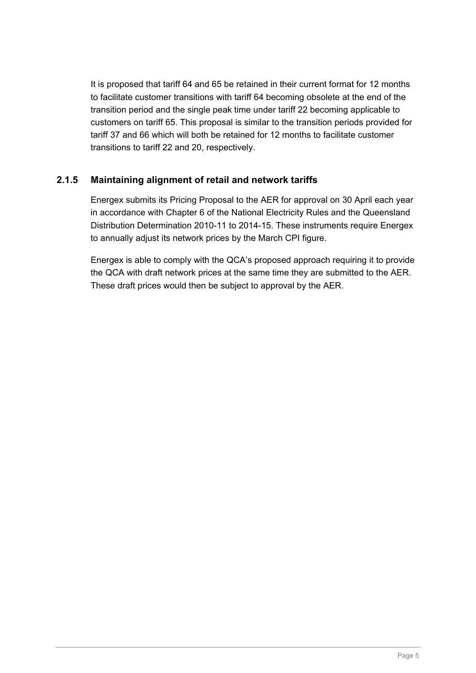It is proposed that tariff 64 and 65 be retained in their current format for 12 months to facilitate customer transitions with tariff 64 becoming obsolete at the end of the transition period and the single peak time under tariff 22 becoming applicable to customers on tariff 65. This proposal is similar to the transition periods provided for tariff 37 and 66 which will both be retained for 12 months to facilitate customer transitions to tariff 22 and 20, respectively.

#### <span id="page-6-0"></span>**2.1.5 Maintaining alignment of retail and network tariffs**

Energex submits its Pricing Proposal to the AER for approval on 30 April each year in accordance with Chapter 6 of the National Electricity Rules and the Queensland Distribution Determination 2010-11 to 2014-15. These instruments require Energex to annually adjust its network prices by the March CPI figure.

Energex is able to comply with the QCA's proposed approach requiring it to provide the QCA with draft network prices at the same time they are submitted to the AER. These draft prices would then be subject to approval by the AER.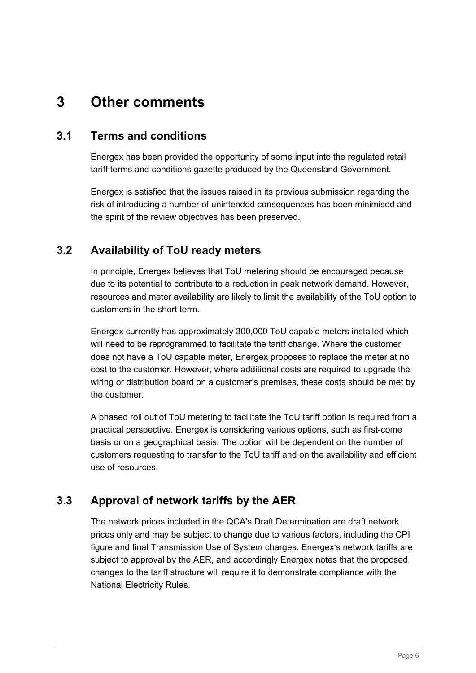## <span id="page-7-0"></span>**3 Other comments**

#### <span id="page-7-1"></span>**3.1 Terms and conditions**

Energex has been provided the opportunity of some input into the regulated retail tariff terms and conditions gazette produced by the Queensland Government.

Energex is satisfied that the issues raised in its previous submission regarding the risk of introducing a number of unintended consequences has been minimised and the spirit of the review objectives has been preserved.

#### <span id="page-7-2"></span>**3.2 Availability of ToU ready meters**

In principle, Energex believes that ToU metering should be encouraged because due to its potential to contribute to a reduction in peak network demand. However, resources and meter availability are likely to limit the availability of the ToU option to customers in the short term.

Energex currently has approximately 300,000 ToU capable meters installed which will need to be reprogrammed to facilitate the tariff change. Where the customer does not have a ToU capable meter, Energex proposes to replace the meter at no cost to the customer. However, where additional costs are required to upgrade the wiring or distribution board on a customer's premises, these costs should be met by the customer.

A phased roll out of ToU metering to facilitate the ToU tariff option is required from a practical perspective. Energex is considering various options, such as first-come basis or on a geographical basis. The option will be dependent on the number of customers requesting to transfer to the ToU tariff and on the availability and efficient use of resources.

#### <span id="page-7-3"></span>**3.3 Approval of network tariffs by the AER**

The network prices included in the QCA's Draft Determination are draft network prices only and may be subject to change due to various factors, including the CPI figure and final Transmission Use of System charges. Energex's network tariffs are subject to approval by the AER, and accordingly Energex notes that the proposed changes to the tariff structure will require it to demonstrate compliance with the National Electricity Rules.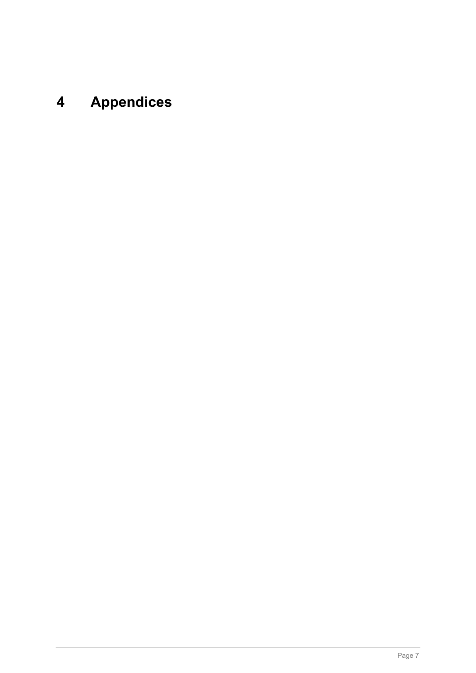## <span id="page-8-0"></span>**4 Appendices**